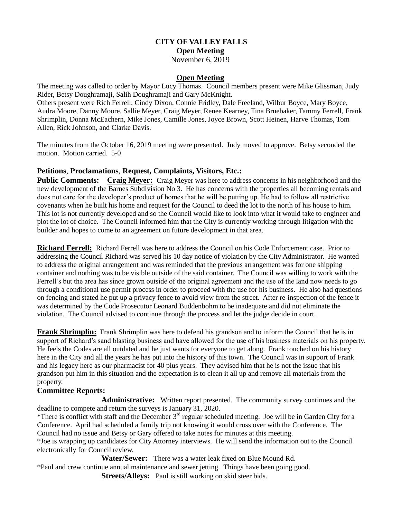## **CITY OF VALLEY FALLS Open Meeting** November 6, 2019

### **Open Meeting**

The meeting was called to order by Mayor Lucy Thomas. Council members present were Mike Glissman, Judy Rider, Betsy Doughramaji, Salih Doughramaji and Gary McKnight.

Others present were Rich Ferrell, Cindy Dixon, Connie Fridley, Dale Freeland, Wilbur Boyce, Mary Boyce, Audra Moore, Danny Moore, Sallie Meyer, Craig Meyer, Renee Kearney, Tina Bruebaker, Tammy Ferrell, Frank Shrimplin, Donna McEachern, Mike Jones, Camille Jones, Joyce Brown, Scott Heinen, Harve Thomas, Tom Allen, Rick Johnson, and Clarke Davis.

The minutes from the October 16, 2019 meeting were presented. Judy moved to approve. Betsy seconded the motion. Motion carried. 5-0

### **Petitions**, **Proclamations**, **Request, Complaints, Visitors, Etc.:**

**Public Comments: Craig Meyer:** Craig Meyer was here to address concerns in his neighborhood and the new development of the Barnes Subdivision No 3. He has concerns with the properties all becoming rentals and does not care for the developer's product of homes that he will be putting up. He had to follow all restrictive covenants when he built his home and request for the Council to deed the lot to the north of his house to him. This lot is not currently developed and so the Council would like to look into what it would take to engineer and plot the lot of choice. The Council informed him that the City is currently working through litigation with the builder and hopes to come to an agreement on future development in that area.

**Richard Ferrell:** Richard Ferrell was here to address the Council on his Code Enforcement case. Prior to addressing the Council Richard was served his 10 day notice of violation by the City Administrator. He wanted to address the original arrangement and was reminded that the previous arrangement was for one shipping container and nothing was to be visible outside of the said container. The Council was willing to work with the Ferrell's but the area has since grown outside of the original agreement and the use of the land now needs to go through a conditional use permit process in order to proceed with the use for his business. He also had questions on fencing and stated he put up a privacy fence to avoid view from the street. After re-inspection of the fence it was determined by the Code Prosecutor Leonard Buddenbohm to be inadequate and did not eliminate the violation. The Council advised to continue through the process and let the judge decide in court.

**Frank Shrimplin:** Frank Shrimplin was here to defend his grandson and to inform the Council that he is in support of Richard's sand blasting business and have allowed for the use of his business materials on his property. He feels the Codes are all outdated and he just wants for everyone to get along. Frank touched on his history here in the City and all the years he has put into the history of this town. The Council was in support of Frank and his legacy here as our pharmacist for 40 plus years. They advised him that he is not the issue that his grandson put him in this situation and the expectation is to clean it all up and remove all materials from the property.

#### **Committee Reports:**

**Administrative:** Written report presented. The community survey continues and the deadline to compete and return the surveys is January 31, 2020.

\*There is conflict with staff and the December 3rd regular scheduled meeting. Joe will be in Garden City for a Conference. April had scheduled a family trip not knowing it would cross over with the Conference. The Council had no issue and Betsy or Gary offered to take notes for minutes at this meeting.

\*Joe is wrapping up candidates for City Attorney interviews. He will send the information out to the Council electronically for Council review.

**Water/Sewer:** There was a water leak fixed on Blue Mound Rd.

\*Paul and crew continue annual maintenance and sewer jetting. Things have been going good.

**Streets/Alleys:** Paul is still working on skid steer bids.